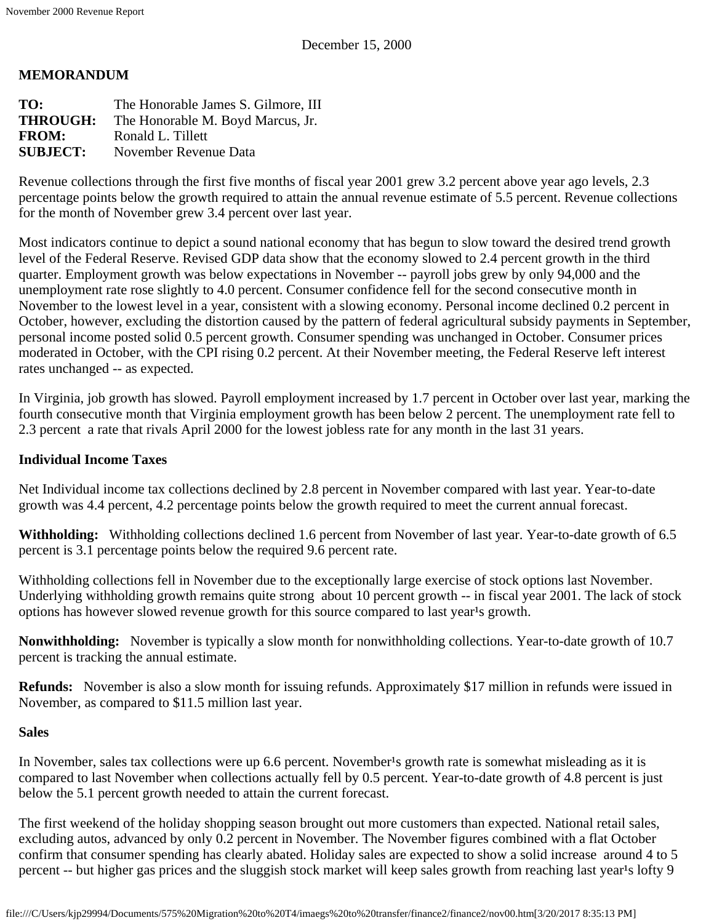### **MEMORANDUM**

| The Honorable James S. Gilmore, III |
|-------------------------------------|
| The Honorable M. Boyd Marcus, Jr.   |
| Ronald L. Tillett                   |
| November Revenue Data               |
|                                     |

Revenue collections through the first five months of fiscal year 2001 grew 3.2 percent above year ago levels, 2.3 percentage points below the growth required to attain the annual revenue estimate of 5.5 percent. Revenue collections for the month of November grew 3.4 percent over last year.

Most indicators continue to depict a sound national economy that has begun to slow toward the desired trend growth level of the Federal Reserve. Revised GDP data show that the economy slowed to 2.4 percent growth in the third quarter. Employment growth was below expectations in November -- payroll jobs grew by only 94,000 and the unemployment rate rose slightly to 4.0 percent. Consumer confidence fell for the second consecutive month in November to the lowest level in a year, consistent with a slowing economy. Personal income declined 0.2 percent in October, however, excluding the distortion caused by the pattern of federal agricultural subsidy payments in September, personal income posted solid 0.5 percent growth. Consumer spending was unchanged in October. Consumer prices moderated in October, with the CPI rising 0.2 percent. At their November meeting, the Federal Reserve left interest rates unchanged -- as expected.

In Virginia, job growth has slowed. Payroll employment increased by 1.7 percent in October over last year, marking the fourth consecutive month that Virginia employment growth has been below 2 percent. The unemployment rate fell to 2.3 percent a rate that rivals April 2000 for the lowest jobless rate for any month in the last 31 years.

#### **Individual Income Taxes**

Net Individual income tax collections declined by 2.8 percent in November compared with last year. Year-to-date growth was 4.4 percent, 4.2 percentage points below the growth required to meet the current annual forecast.

**Withholding:** Withholding collections declined 1.6 percent from November of last year. Year-to-date growth of 6.5 percent is 3.1 percentage points below the required 9.6 percent rate.

Withholding collections fell in November due to the exceptionally large exercise of stock options last November. Underlying withholding growth remains quite strong about 10 percent growth -- in fiscal year 2001. The lack of stock options has however slowed revenue growth for this source compared to last year's growth.

**Nonwithholding:** November is typically a slow month for nonwithholding collections. Year-to-date growth of 10.7 percent is tracking the annual estimate.

**Refunds:** November is also a slow month for issuing refunds. Approximately \$17 million in refunds were issued in November, as compared to \$11.5 million last year.

#### **Sales**

In November, sales tax collections were up 6.6 percent. November<sup>1</sup>s growth rate is somewhat misleading as it is compared to last November when collections actually fell by 0.5 percent. Year-to-date growth of 4.8 percent is just below the 5.1 percent growth needed to attain the current forecast.

The first weekend of the holiday shopping season brought out more customers than expected. National retail sales, excluding autos, advanced by only 0.2 percent in November. The November figures combined with a flat October confirm that consumer spending has clearly abated. Holiday sales are expected to show a solid increase around 4 to 5 percent -- but higher gas prices and the sluggish stock market will keep sales growth from reaching last year's lofty 9